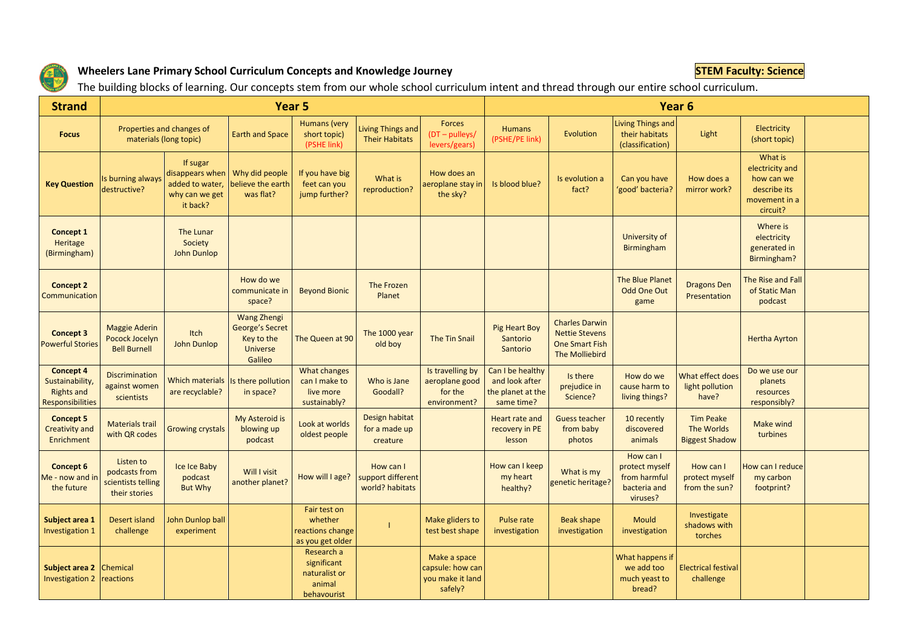

## **Wheelers Lane Primary School Curriculum Concepts and Knowledge Journey STEM Faculty: Science STEM Faculty: Science**

The building blocks of learning. Our concepts stem from our whole school curriculum intent and thread through our entire school curriculum.

| <b>Strand</b>                                                                | Year 5                                                            |                                                                              |                                                                                          |                                                                     |                                                   |                                                                 |                                                                       | Year <sub>6</sub>                                                                         |                                                                         |                                                         |                                                                                       |  |  |
|------------------------------------------------------------------------------|-------------------------------------------------------------------|------------------------------------------------------------------------------|------------------------------------------------------------------------------------------|---------------------------------------------------------------------|---------------------------------------------------|-----------------------------------------------------------------|-----------------------------------------------------------------------|-------------------------------------------------------------------------------------------|-------------------------------------------------------------------------|---------------------------------------------------------|---------------------------------------------------------------------------------------|--|--|
| <b>Focus</b>                                                                 | Properties and changes of<br>materials (long topic)               |                                                                              | <b>Earth and Space</b>                                                                   | Humans (very<br>short topic)<br>(PSHE link)                         | Living Things and<br><b>Their Habitats</b>        | Forces<br>$(DT - pulleys/$<br>levers/gears)                     | <b>Humans</b><br>(PSHE/PE link)                                       | Evolution                                                                                 | Living Things and<br>their habitats<br>(classification)                 | Light                                                   | Electricity<br>(short topic)                                                          |  |  |
| <b>Key Question</b>                                                          | Is burning always<br>destructive?                                 | If sugar<br>disappears when<br>added to water,<br>why can we get<br>it back? | Why did people<br>believe the earth<br>was flat?                                         | If you have big<br>feet can you<br>jump further?                    | What is<br>reproduction?                          | How does an<br>aeroplane stay in<br>the sky?                    | Is blood blue?                                                        | Is evolution a<br>fact?                                                                   | Can you have<br>'good' bacteria?                                        | How does a<br>mirror work?                              | What is<br>electricity and<br>how can we<br>describe its<br>movement in a<br>circuit? |  |  |
| Concept 1<br>Heritage<br>(Birmingham)                                        |                                                                   | The Lunar<br>Society<br>John Dunlop                                          |                                                                                          |                                                                     |                                                   |                                                                 |                                                                       |                                                                                           | <b>University of</b><br><b>Birmingham</b>                               |                                                         | Where is<br>electricity<br>generated in<br>Birmingham?                                |  |  |
| <b>Concept 2</b><br>Communication                                            |                                                                   |                                                                              | How do we<br>communicate in<br>space?                                                    | <b>Beyond Bionic</b>                                                | <b>The Frozen</b><br>Planet                       |                                                                 |                                                                       |                                                                                           | <b>The Blue Planet</b><br><b>Odd One Out</b><br>game                    | <b>Dragons Den</b><br>Presentation                      | The Rise and Fall<br>of Static Man<br>podcast                                         |  |  |
| <b>Concept 3</b><br><b>Powerful Stories</b>                                  | <b>Maggie Aderin</b><br>Pocock Jocelyn<br><b>Bell Burnell</b>     | Itch<br>John Dunlop                                                          | <b>Wang Zhengi</b><br><b>George's Secret</b><br>Key to the<br><b>Universe</b><br>Galileo | The Queen at 90                                                     | The 1000 year<br>old boy                          | <b>The Tin Snail</b>                                            | <b>Pig Heart Boy</b><br>Santorio<br>Santorio                          | <b>Charles Darwin</b><br><b>Nettie Stevens</b><br><b>One Smart Fish</b><br>The Molliebird |                                                                         |                                                         | <b>Hertha Ayrton</b>                                                                  |  |  |
| <b>Concept 4</b><br>Sustainability,<br><b>Rights and</b><br>Responsibilities | <b>Discrimination</b><br>against women<br>scientists              | <b>Which materials</b><br>are recyclable?                                    | Is there pollution<br>in space?                                                          | <b>What changes</b><br>can I make to<br>live more<br>sustainably?   | Who is Jane<br>Goodall?                           | Is travelling by<br>aeroplane good<br>for the<br>environment?   | Can I be healthy<br>and look after<br>the planet at the<br>same time? | Is there<br>prejudice in<br>Science?                                                      | How do we<br>cause harm to<br>living things?                            | What effect does<br>light pollution<br>have?            | Do we use our<br>planets<br>resources<br>responsibly?                                 |  |  |
| <b>Concept 5</b><br><b>Creativity and</b><br><b>Enrichment</b>               | <b>Materials trail</b><br>with QR codes                           | <b>Growing crystals</b>                                                      | My Asteroid is<br>blowing up<br>podcast                                                  | Look at worlds<br>oldest people                                     | Design habitat<br>for a made up<br>creature       |                                                                 | Heart rate and<br>recovery in PE<br>lesson                            | <b>Guess teacher</b><br>from baby<br>photos                                               | 10 recently<br>discovered<br>animals                                    | <b>Tim Peake</b><br>The Worlds<br><b>Biggest Shadow</b> | Make wind<br>turbines                                                                 |  |  |
| Concept 6<br>Me - now and in<br>the future                                   | Listen to<br>podcasts from<br>scientists telling<br>their stories | Ice Ice Baby<br>podcast<br><b>But Why</b>                                    | Will I visit<br>another planet?                                                          | How will I age?                                                     | How can I<br>support different<br>world? habitats |                                                                 | How can I keep<br>my heart<br>healthy?                                | What is my<br>genetic heritage?                                                           | How can I<br>protect myself<br>from harmful<br>bacteria and<br>viruses? | How can I<br>protect myself<br>from the sun?            | How can I reduce<br>my carbon<br>footprint?                                           |  |  |
| Subject area 1<br>Investigation 1                                            | Desert island<br>challenge                                        | John Dunlop ball<br>experiment                                               |                                                                                          | Fair test on<br>whether<br>reactions change<br>as you get older     |                                                   | Make gliders to<br>test best shape                              | Pulse rate<br>investigation                                           | <b>Beak shape</b><br>investigation                                                        | Mould<br>investigation                                                  | Investigate<br>shadows with<br>torches                  |                                                                                       |  |  |
| Subject area 2<br><b>Investigation 2</b>                                     | Chemical<br>reactions                                             |                                                                              |                                                                                          | Research a<br>significant<br>naturalist or<br>animal<br>behavourist |                                                   | Make a space<br>capsule: how can<br>you make it land<br>safely? |                                                                       |                                                                                           | What happens if<br>we add too<br>much yeast to<br>bread?                | <b>Electrical festival</b><br>challenge                 |                                                                                       |  |  |